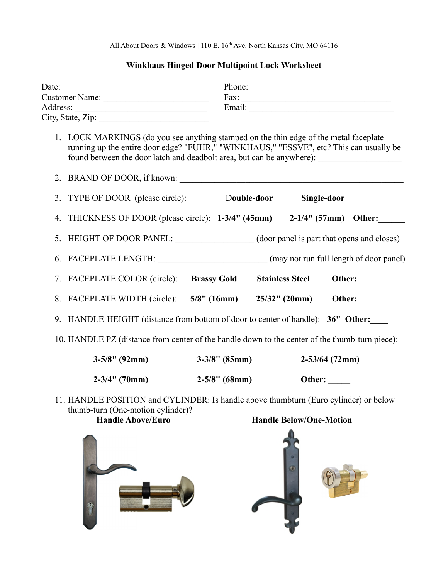All About Doors & Windows | 110 E. 16<sup>th</sup> Ave. North Kansas City, MO 64116

## **Winkhaus Hinged Door Multipoint Lock Worksheet**

| Date: $\qquad \qquad$                                                                                                     |                                                                                                                                                                                 |                  | Phone:                         |                        |  |  |
|---------------------------------------------------------------------------------------------------------------------------|---------------------------------------------------------------------------------------------------------------------------------------------------------------------------------|------------------|--------------------------------|------------------------|--|--|
|                                                                                                                           |                                                                                                                                                                                 |                  |                                |                        |  |  |
| Address: City, State, Zip:                                                                                                |                                                                                                                                                                                 |                  |                                |                        |  |  |
|                                                                                                                           |                                                                                                                                                                                 |                  |                                |                        |  |  |
|                                                                                                                           | 1. LOCK MARKINGS (do you see anything stamped on the thin edge of the metal faceplate<br>running up the entire door edge? "FUHR," "WINKHAUS," "ESSVE", etc? This can usually be |                  |                                |                        |  |  |
|                                                                                                                           | 2. BRAND OF DOOR, if known:                                                                                                                                                     |                  |                                |                        |  |  |
|                                                                                                                           | 3. TYPE OF DOOR (please circle): Double-door Single-door                                                                                                                        |                  |                                |                        |  |  |
| 4.                                                                                                                        | THICKNESS OF DOOR (please circle): $1-3/4$ " (45mm) $2-1/4$ " (57mm) Other:                                                                                                     |                  |                                |                        |  |  |
|                                                                                                                           | 5. HEIGHT OF DOOR PANEL: (door panel is part that opens and closes)                                                                                                             |                  |                                |                        |  |  |
|                                                                                                                           | 6. FACEPLATE LENGTH: (may not run full length of door panel)                                                                                                                    |                  |                                |                        |  |  |
|                                                                                                                           | 7. FACEPLATE COLOR (circle): Brassy Gold                                                                                                                                        |                  |                                | <b>Stainless Steel</b> |  |  |
|                                                                                                                           | 8. FACEPLATE WIDTH (circle): 5/8" (16mm) 25/32" (20mm) Other:                                                                                                                   |                  |                                |                        |  |  |
|                                                                                                                           | 9. HANDLE-HEIGHT (distance from bottom of door to center of handle): 36" Other:                                                                                                 |                  |                                |                        |  |  |
| 10. HANDLE PZ (distance from center of the handle down to the center of the thumb-turn piece):                            |                                                                                                                                                                                 |                  |                                |                        |  |  |
|                                                                                                                           | $3-5/8$ " (92mm)                                                                                                                                                                | $3-3/8$ " (85mm) |                                | $2 - 53/64$ (72mm)     |  |  |
|                                                                                                                           | $2-3/4$ " (70mm)                                                                                                                                                                | $2-5/8$ " (68mm) |                                | Other: $\_\_$          |  |  |
| 11. HANDLE POSITION and CYLINDER: Is handle above thumbturn (Euro cylinder) or below<br>thumb-turn (One-motion cylinder)? |                                                                                                                                                                                 |                  |                                |                        |  |  |
|                                                                                                                           | <b>Handle Above/Euro</b>                                                                                                                                                        |                  | <b>Handle Below/One-Motion</b> |                        |  |  |
|                                                                                                                           |                                                                                                                                                                                 |                  |                                |                        |  |  |